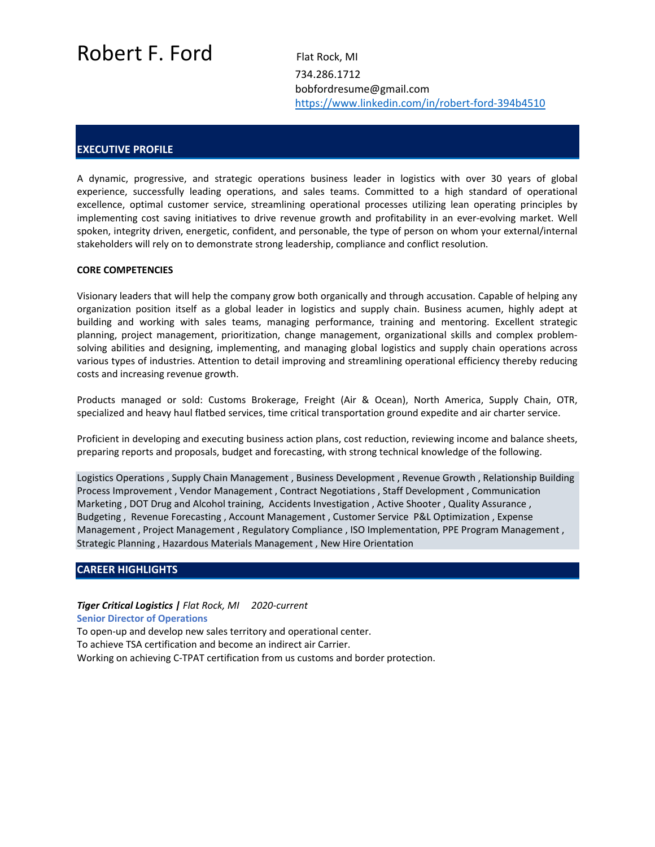# Robert F. Ford Flat Rock, MI

 734.286.1712 bobfordresume@gmail.com https://www.linkedin.com/in/robert‐ford‐394b4510

## **EXECUTIVE PROFILE**

A dynamic, progressive, and strategic operations business leader in logistics with over 30 years of global experience, successfully leading operations, and sales teams. Committed to a high standard of operational excellence, optimal customer service, streamlining operational processes utilizing lean operating principles by implementing cost saving initiatives to drive revenue growth and profitability in an ever-evolving market. Well spoken, integrity driven, energetic, confident, and personable, the type of person on whom your external/internal stakeholders will rely on to demonstrate strong leadership, compliance and conflict resolution.

#### **CORE COMPETENCIES**

Visionary leaders that will help the company grow both organically and through accusation. Capable of helping any organization position itself as a global leader in logistics and supply chain. Business acumen, highly adept at building and working with sales teams, managing performance, training and mentoring. Excellent strategic planning, project management, prioritization, change management, organizational skills and complex problemsolving abilities and designing, implementing, and managing global logistics and supply chain operations across various types of industries. Attention to detail improving and streamlining operational efficiency thereby reducing costs and increasing revenue growth.

Products managed or sold: Customs Brokerage, Freight (Air & Ocean), North America, Supply Chain, OTR, specialized and heavy haul flatbed services, time critical transportation ground expedite and air charter service.

Proficient in developing and executing business action plans, cost reduction, reviewing income and balance sheets, preparing reports and proposals, budget and forecasting, with strong technical knowledge of the following.

Logistics Operations , Supply Chain Management , Business Development , Revenue Growth , Relationship Building Process Improvement , Vendor Management , Contract Negotiations , Staff Development , Communication Marketing , DOT Drug and Alcohol training, Accidents Investigation , Active Shooter , Quality Assurance , Budgeting , Revenue Forecasting , Account Management , Customer Service P&L Optimization , Expense Management , Project Management , Regulatory Compliance , ISO Implementation, PPE Program Management , Strategic Planning , Hazardous Materials Management , New Hire Orientation

#### **CAREER HIGHLIGHTS**

*Tiger Critical Logistics | Flat Rock, MI 2020‐current*  **Senior Director of Operations** To open‐up and develop new sales territory and operational center. To achieve TSA certification and become an indirect air Carrier. Working on achieving C‐TPAT certification from us customs and border protection.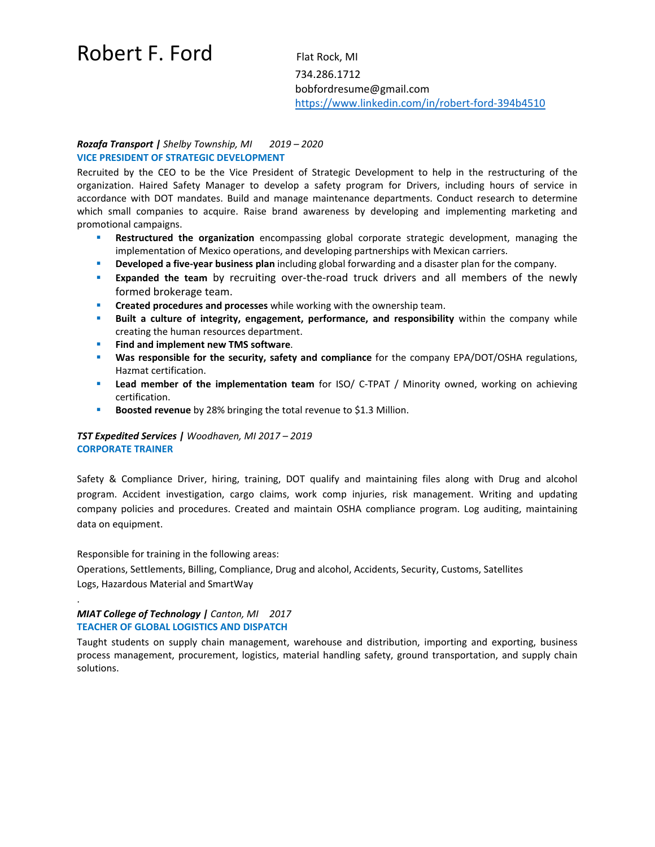## Robert F. Ford Flat Rock, MI

 734.286.1712 bobfordresume@gmail.com https://www.linkedin.com/in/robert‐ford‐394b4510

### *Rozafa Transport | Shelby Township, MI 2019 – 2020*  **VICE PRESIDENT OF STRATEGIC DEVELOPMENT**

Recruited by the CEO to be the Vice President of Strategic Development to help in the restructuring of the organization. Haired Safety Manager to develop a safety program for Drivers, including hours of service in accordance with DOT mandates. Build and manage maintenance departments. Conduct research to determine which small companies to acquire. Raise brand awareness by developing and implementing marketing and promotional campaigns.

- **Restructured the organization** encompassing global corporate strategic development, managing the implementation of Mexico operations, and developing partnerships with Mexican carriers.
- **Developed a five‐year business plan** including global forwarding and a disaster plan for the company.
- **Expanded the team** by recruiting over-the-road truck drivers and all members of the newly formed brokerage team.
- **Created procedures and processes** while working with the ownership team.
- **Built a culture of integrity, engagement, performance, and responsibility** within the company while creating the human resources department.
- **Find and implement new TMS software**.
- **Was responsible for the security, safety and compliance** for the company EPA/DOT/OSHA regulations, Hazmat certification.
- **Lead member of the implementation team** for ISO/ C-TPAT / Minority owned, working on achieving certification.
- **Boosted revenue** by 28% bringing the total revenue to \$1.3 Million.

## *TST Expedited Services | Woodhaven, MI 2017 – 2019*  **CORPORATE TRAINER**

Safety & Compliance Driver, hiring, training, DOT qualify and maintaining files along with Drug and alcohol program. Accident investigation, cargo claims, work comp injuries, risk management. Writing and updating company policies and procedures. Created and maintain OSHA compliance program. Log auditing, maintaining data on equipment.

Responsible for training in the following areas:

.

Operations, Settlements, Billing, Compliance, Drug and alcohol, Accidents, Security, Customs, Satellites Logs, Hazardous Material and SmartWay

### *MIAT College of Technology | Canton, MI 2017*  **TEACHER OF GLOBAL LOGISTICS AND DISPATCH**

Taught students on supply chain management, warehouse and distribution, importing and exporting, business process management, procurement, logistics, material handling safety, ground transportation, and supply chain solutions.